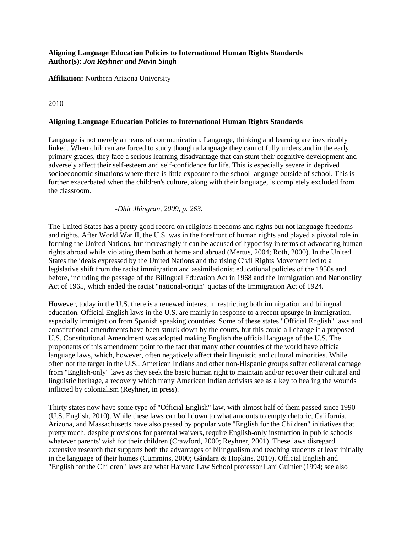## **Aligning Language Education Policies to International Human Rights Standards Author(s):** *Jon Reyhner and Navin Singh*

**Affiliation:** Northern Arizona University

2010

# **Aligning Language Education Policies to International Human Rights Standards**

Language is not merely a means of communication. Language, thinking and learning are inextricably linked. When children are forced to study though a language they cannot fully understand in the early primary grades, they face a serious learning disadvantage that can stunt their cognitive development and adversely affect their self-esteem and self-confidence for life. This is especially severe in deprived socioeconomic situations where there is little exposure to the school language outside of school. This is further exacerbated when the children's culture, along with their language, is completely excluded from the classroom.

## *-Dhir Jhingran, 2009, p. 263.*

The United States has a pretty good record on religious freedoms and rights but not language freedoms and rights. After World War II, the U.S. was in the forefront of human rights and played a pivotal role in forming the United Nations, but increasingly it can be accused of hypocrisy in terms of advocating human rights abroad while violating them both at home and abroad (Mertus, 2004; Roth, 2000). In the United States the ideals expressed by the United Nations and the rising Civil Rights Movement led to a legislative shift from the racist immigration and assimilationist educational policies of the 1950s and before, including the passage of the Bilingual Education Act in 1968 and the Immigration and Nationality Act of 1965, which ended the racist "national-origin" quotas of the Immigration Act of 1924.

However, today in the U.S. there is a renewed interest in restricting both immigration and bilingual education. Official English laws in the U.S. are mainly in response to a recent upsurge in immigration, especially immigration from Spanish speaking countries. Some of these states "Official English" laws and constitutional amendments have been struck down by the courts, but this could all change if a proposed U.S. Constitutional Amendment was adopted making English the official language of the U.S. The proponents of this amendment point to the fact that many other countries of the world have official language laws, which, however, often negatively affect their linguistic and cultural minorities. While often not the target in the U.S., American Indians and other non-Hispanic groups suffer collateral damage from "English-only" laws as they seek the basic human right to maintain and/or recover their cultural and linguistic heritage, a recovery which many American Indian activists see as a key to healing the wounds inflicted by colonialism (Reyhner, in press).

Thirty states now have some type of "Official English" law, with almost half of them passed since 1990 (U.S. English, 2010). While these laws can boil down to what amounts to empty rhetoric, California, Arizona, and Massachusetts have also passed by popular vote "English for the Children" initiatives that pretty much, despite provisions for parental waivers, require English-only instruction in public schools whatever parents' wish for their children (Crawford, 2000; Reyhner, 2001). These laws disregard extensive research that supports both the advantages of bilingualism and teaching students at least initially in the language of their homes (Cummins, 2000; Gándara & Hopkins, 2010). Official English and "English for the Children" laws are what Harvard Law School professor Lani Guinier (1994; see also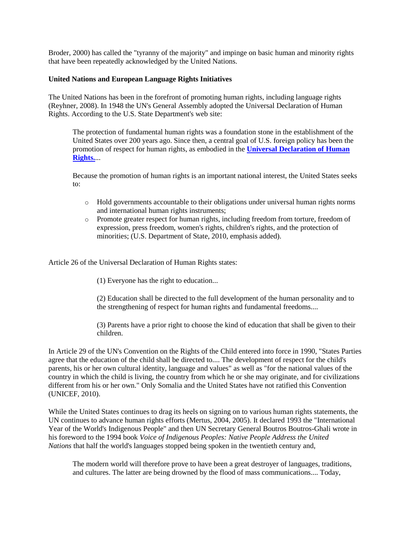Broder, 2000) has called the "tyranny of the majority" and impinge on basic human and minority rights that have been repeatedly acknowledged by the United Nations.

## **United Nations and European Language Rights Initiatives**

The United Nations has been in the forefront of promoting human rights, including language rights (Reyhner, 2008). In 1948 the UN's General Assembly adopted the Universal Declaration of Human Rights. According to the U.S. State Department's web site:

The protection of fundamental human rights was a foundation stone in the establishment of the United States over 200 years ago. Since then, a central goal of U.S. foreign policy has been the promotion of respect for human rights, as embodied in the **[Universal Declaration of Human](http://www.state.gov/g/drl/rls/irf/2008/108544.htm)  [Rights.](http://www.state.gov/g/drl/rls/irf/2008/108544.htm)**...

Because the promotion of human rights is an important national interest, the United States seeks to:

- o Hold governments accountable to their obligations under universal human rights norms and international human rights instruments;
- o Promote greater respect for human rights, including freedom from torture, freedom of expression, press freedom, women's rights, children's rights, and the protection of minorities; (U.S. Department of State, 2010, emphasis added).

Article 26 of the Universal Declaration of Human Rights states:

- (1) Everyone has the right to education...
- (2) Education shall be directed to the full development of the human personality and to the strengthening of respect for human rights and fundamental freedoms....

(3) Parents have a prior right to choose the kind of education that shall be given to their children.

In Article 29 of the UN's Convention on the Rights of the Child entered into force in 1990, "States Parties agree that the education of the child shall be directed to.... The development of respect for the child's parents, his or her own cultural identity, language and values" as well as "for the national values of the country in which the child is living, the country from which he or she may originate, and for civilizations different from his or her own." Only Somalia and the United States have not ratified this Convention (UNICEF, 2010).

While the United States continues to drag its heels on signing on to various human rights statements, the UN continues to advance human rights efforts (Mertus, 2004, 2005). It declared 1993 the "International Year of the World's Indigenous People" and then UN Secretary General Boutros Boutros-Ghali wrote in his foreword to the 1994 book *Voice of Indigenous Peoples: Native People Address the United Nations* that half the world's languages stopped being spoken in the twentieth century and,

The modern world will therefore prove to have been a great destroyer of languages, traditions, and cultures. The latter are being drowned by the flood of mass communications.... Today,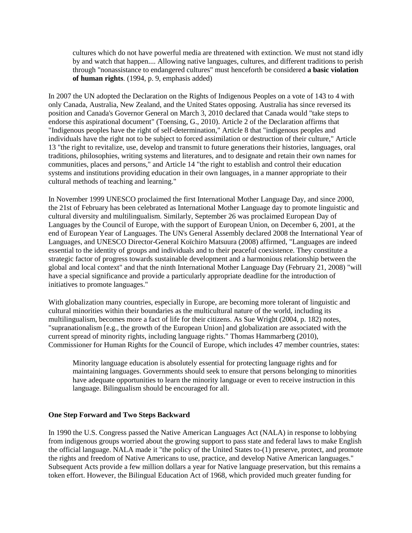cultures which do not have powerful media are threatened with extinction. We must not stand idly by and watch that happen.... Allowing native languages, cultures, and different traditions to perish through "nonassistance to endangered cultures" must henceforth be considered **a basic violation of human rights**. (1994, p. 9, emphasis added)

In 2007 the UN adopted the Declaration on the Rights of Indigenous Peoples on a vote of 143 to 4 with only Canada, Australia, New Zealand, and the United States opposing. Australia has since reversed its position and Canada's Governor General on March 3, 2010 declared that Canada would "take steps to endorse this aspirational document" (Toensing, G., 2010). Article 2 of the Declaration affirms that "Indigenous peoples have the right of self-determination," Article 8 that "indigenous peoples and individuals have the right not to be subject to forced assimilation or destruction of their culture," Article 13 "the right to revitalize, use, develop and transmit to future generations their histories, languages, oral traditions, philosophies, writing systems and literatures, and to designate and retain their own names for communities, places and persons," and Article 14 "the right to establish and control their education systems and institutions providing education in their own languages, in a manner appropriate to their cultural methods of teaching and learning."

In November 1999 UNESCO proclaimed the first International Mother Language Day, and since 2000, the 21st of February has been celebrated as International Mother Language day to promote linguistic and cultural diversity and multilingualism. Similarly, September 26 was proclaimed European Day of Languages by the Council of Europe, with the support of European Union, on December 6, 2001, at the end of European Year of Languages. The UN's General Assembly declared 2008 the International Year of Languages, and UNESCO Director-General Koïchiro Matsuura (2008) affirmed, "Languages are indeed essential to the identity of groups and individuals and to their peaceful coexistence. They constitute a strategic factor of progress towards sustainable development and a harmonious relationship between the global and local context" and that the ninth International Mother Language Day (February 21, 2008) "will have a special significance and provide a particularly appropriate deadline for the introduction of initiatives to promote languages."

With globalization many countries, especially in Europe, are becoming more tolerant of linguistic and cultural minorities within their boundaries as the multicultural nature of the world, including its multilingualism, becomes more a fact of life for their citizens. As Sue Wright (2004, p. 182) notes, "supranationalism [e.g., the growth of the European Union] and globalization are associated with the current spread of minority rights, including language rights." Thomas Hammarberg (2010), Commissioner for Human Rights for the Council of Europe, which includes 47 member countries, states:

Minority language education is absolutely essential for protecting language rights and for maintaining languages. Governments should seek to ensure that persons belonging to minorities have adequate opportunities to learn the minority language or even to receive instruction in this language. Bilingualism should be encouraged for all.

## **One Step Forward and Two Steps Backward**

In 1990 the U.S. Congress passed the Native American Languages Act (NALA) in response to lobbying from indigenous groups worried about the growing support to pass state and federal laws to make English the official language. NALA made it "the policy of the United States to-(1) preserve, protect, and promote the rights and freedom of Native Americans to use, practice, and develop Native American languages." Subsequent Acts provide a few million dollars a year for Native language preservation, but this remains a token effort. However, the Bilingual Education Act of 1968, which provided much greater funding for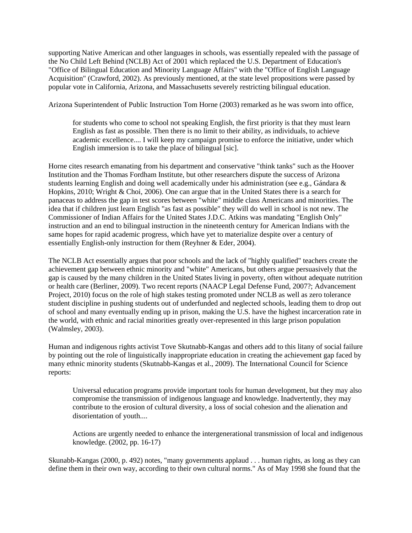supporting Native American and other languages in schools, was essentially repealed with the passage of the No Child Left Behind (NCLB) Act of 2001 which replaced the U.S. Department of Education's "Office of Bilingual Education and Minority Language Affairs" with the "Office of English Language Acquisition" (Crawford, 2002). As previously mentioned, at the state level propositions were passed by popular vote in California, Arizona, and Massachusetts severely restricting bilingual education.

Arizona Superintendent of Public Instruction Tom Horne (2003) remarked as he was sworn into office,

for students who come to school not speaking English, the first priority is that they must learn English as fast as possible. Then there is no limit to their ability, as individuals, to achieve academic excellence.... I will keep my campaign promise to enforce the initiative, under which English immersion is to take the place of bilingual [sic].

Horne cites research emanating from his department and conservative "think tanks" such as the Hoover Institution and the Thomas Fordham Institute, but other researchers dispute the success of Arizona students learning English and doing well academically under his administration (see e.g., Gándara & Hopkins, 2010; Wright & Choi, 2006). One can argue that in the United States there is a search for panaceas to address the gap in test scores between "white" middle class Americans and minorities. The idea that if children just learn English "as fast as possible" they will do well in school is not new. The Commissioner of Indian Affairs for the United States J.D.C. Atkins was mandating "English Only" instruction and an end to bilingual instruction in the nineteenth century for American Indians with the same hopes for rapid academic progress, which have yet to materialize despite over a century of essentially English-only instruction for them (Reyhner & Eder, 2004).

The NCLB Act essentially argues that poor schools and the lack of "highly qualified" teachers create the achievement gap between ethnic minority and "white" Americans, but others argue persuasively that the gap is caused by the many children in the United States living in poverty, often without adequate nutrition or health care (Berliner, 2009). Two recent reports (NAACP Legal Defense Fund, 2007?; Advancement Project, 2010) focus on the role of high stakes testing promoted under NCLB as well as zero tolerance student discipline in pushing students out of underfunded and neglected schools, leading them to drop out of school and many eventually ending up in prison, making the U.S. have the highest incarceration rate in the world, with ethnic and racial minorities greatly over-represented in this large prison population (Walmsley, 2003).

Human and indigenous rights activist Tove Skutnabb-Kangas and others add to this litany of social failure by pointing out the role of linguistically inappropriate education in creating the achievement gap faced by many ethnic minority students (Skutnabb-Kangas et al., 2009). The International Council for Science reports:

Universal education programs provide important tools for human development, but they may also compromise the transmission of indigenous language and knowledge. Inadvertently, they may contribute to the erosion of cultural diversity, a loss of social cohesion and the alienation and disorientation of youth....

Actions are urgently needed to enhance the intergenerational transmission of local and indigenous knowledge. (2002, pp. 16-17)

Skunabb-Kangas (2000, p. 492) notes, "many governments applaud . . . human rights, as long as they can define them in their own way, according to their own cultural norms." As of May 1998 she found that the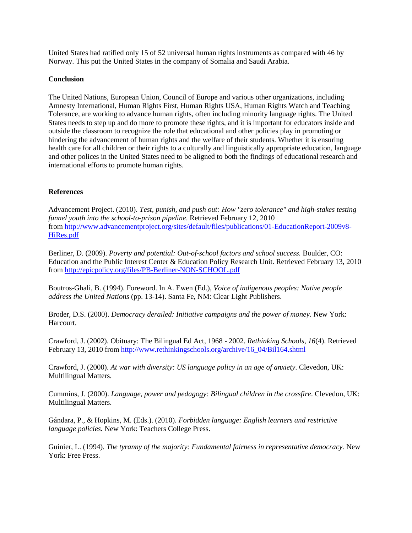United States had ratified only 15 of 52 universal human rights instruments as compared with 46 by Norway. This put the United States in the company of Somalia and Saudi Arabia.

#### **Conclusion**

The United Nations, European Union, Council of Europe and various other organizations, including Amnesty International, Human Rights First, Human Rights USA, Human Rights Watch and Teaching Tolerance, are working to advance human rights, often including minority language rights. The United States needs to step up and do more to promote these rights, and it is important for educators inside and outside the classroom to recognize the role that educational and other policies play in promoting or hindering the advancement of human rights and the welfare of their students. Whether it is ensuring health care for all children or their rights to a culturally and linguistically appropriate education, language and other polices in the United States need to be aligned to both the findings of educational research and international efforts to promote human rights.

#### **References**

Advancement Project. (2010). *Test, punish, and push out: How "zero tolerance" and high-stakes testing funnel youth into the school-to-prison pipeline*. Retrieved February 12, 2010 from [http://www.advancementproject.org/sites/default/files/publications/01-EducationReport-2009v8-](http://www.advancementproject.org/sites/default/files/publications/01-EducationReport-2009v8-HiRes.pdf) [HiRes.pdf](http://www.advancementproject.org/sites/default/files/publications/01-EducationReport-2009v8-HiRes.pdf)

Berliner, D. (2009). *Poverty and potential: Out-of-school factors and school success.* Boulder, CO: Education and the Public Interest Center & Education Policy Research Unit. Retrieved February 13, 2010 from <http://epicpolicy.org/files/PB-Berliner-NON-SCHOOL.pdf>

Boutros-Ghali, B. (1994). Foreword. In A. Ewen (Ed.), *Voice of indigenous peoples: Native people address the United Nations* (pp. 13-14). Santa Fe, NM: Clear Light Publishers.

Broder, D.S. (2000). *Democracy derailed: Initiative campaigns and the power of money*. New York: Harcourt.

Crawford, J. (2002). Obituary: The Bilingual Ed Act, 1968 - 2002. *Rethinking Schools, 16*(4). Retrieved February 13, 2010 from [http://www.rethinkingschools.org/archive/16\\_04/Bil164.shtml](http://www.rethinkingschools.org/archive/16_04/Bil164.shtml)

Crawford, J. (2000). *At war with diversity: US language policy in an age of anxiety*. Clevedon, UK: Multilingual Matters.

Cummins, J. (2000). *Language, power and pedagogy: Bilingual children in the crossfire*. Clevedon, UK: Multilingual Matters.

Gándara, P., & Hopkins, M. (Eds.). (2010). *Forbidden language: English learners and restrictive language policies.* New York: Teachers College Press.

Guinier, L. (1994). *The tyranny of the majority: Fundamental fairness in representative democracy.* New York: Free Press.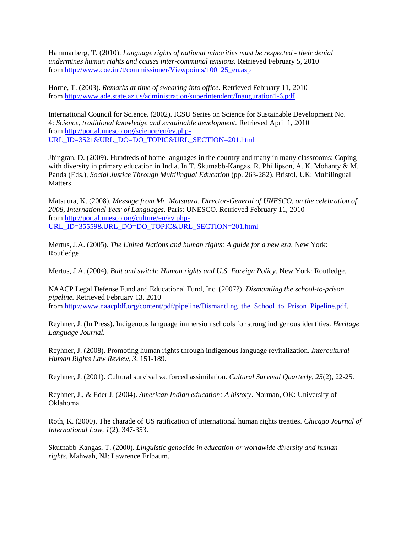Hammarberg, T. (2010). *Language rights of national minorities must be respected - their denial undermines human rights and causes inter-communal tensions.* Retrieved February 5, 2010 from [http://www.coe.int/t/commissioner/Viewpoints/100125\\_en.asp](http://www.coe.int/t/commissioner/Viewpoints/100125_en.asp)

Horne, T. (2003). *Remarks at time of swearing into office*. Retrieved February 11, 2010 from <http://www.ade.state.az.us/administration/superintendent/Inauguration1-6.pdf>

International Council for Science. (2002). ICSU Series on Science for Sustainable Development No. 4: *Science, traditional knowledge and sustainable development.* Retrieved April 1, 2010 from [http://portal.unesco.org/science/en/ev.php-](http://portal.unesco.org/science/en/ev.php-URL_ID=3521&URL_DO=DO_TOPIC&URL_SECTION=201.html)[URL\\_ID=3521&URL\\_DO=DO\\_TOPIC&URL\\_SECTION=201.html](http://portal.unesco.org/science/en/ev.php-URL_ID=3521&URL_DO=DO_TOPIC&URL_SECTION=201.html)

Jhingran, D. (2009). Hundreds of home languages in the country and many in many classrooms: Coping with diversity in primary education in India. In T. Skutnabb-Kangas, R. Phillipson, A. K. Mohanty & M. Panda (Eds.), *Social Justice Through Multilingual Education* (pp. 263-282). Bristol, UK: Multilingual Matters.

Matsuura, K. (2008). *Message from Mr. Matsuura, Director-General of UNESCO, on the celebration of 2008, International Year of Languages.* Paris: UNESCO. Retrieved February 11, 2010 from [http://portal.unesco.org/culture/en/ev.php-](http://portal.unesco.org/culture/en/ev.php-URL_ID=35559&URL_DO=DO_TOPIC&URL_SECTION=201.html)[URL\\_ID=35559&URL\\_DO=DO\\_TOPIC&URL\\_SECTION=201.html](http://portal.unesco.org/culture/en/ev.php-URL_ID=35559&URL_DO=DO_TOPIC&URL_SECTION=201.html)

Mertus, J.A. (2005). *The United Nations and human rights: A guide for a new era*. New York: Routledge.

Mertus, J.A. (2004). *Bait and switch: Human rights and U.S. Foreign Policy*. New York: Routledge.

NAACP Legal Defense Fund and Educational Fund, Inc. (2007?). *Dismantling the school-to-prison pipeline.* Retrieved February 13, 2010 from [http://www.naacpldf.org/content/pdf/pipeline/Dismantling\\_the\\_School\\_to\\_Prison\\_Pipeline.pdf.](http://www.naacpldf.org/content/pdf/pipeline/Dismantling_the_School_to_Prison_Pipeline.pdf)

Reyhner, J. (In Press). Indigenous language immersion schools for strong indigenous identities. *Heritage Language Journal.*

Reyhner, J. (2008). Promoting human rights through indigenous language revitalization. *Intercultural Human Rights Law Review, 3*, 151-189.

Reyhner, J. (2001). Cultural survival *vs.* forced assimilation*. Cultural Survival Quarterly, 25*(2), 22-25.

Reyhner, J., & Eder J. (2004). *American Indian education: A history*. Norman, OK: University of Oklahoma.

Roth, K. (2000). The charade of US ratification of international human rights treaties. *Chicago Journal of International Law, 1*(2), 347-353.

Skutnabb-Kangas, T. (2000). *Linguistic genocide in education-or worldwide diversity and human rights.* Mahwah, NJ: Lawrence Erlbaum.